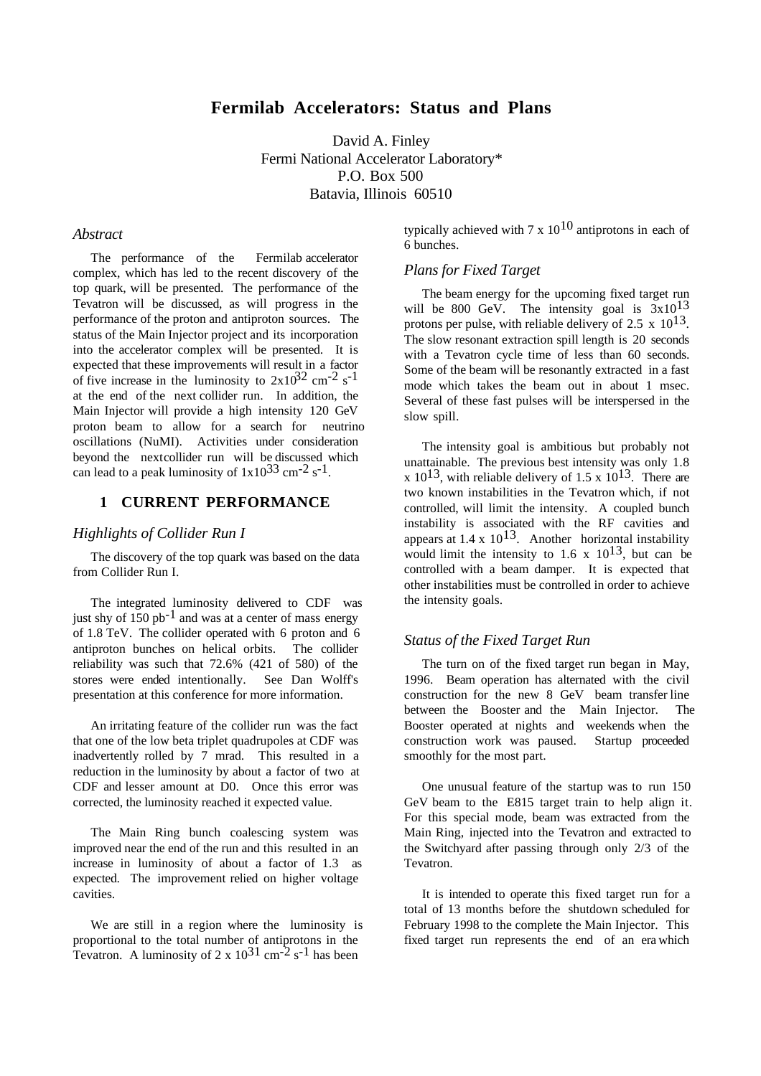# **Fermilab Accelerators: Status and Plans**

David A. Finley Fermi National Accelerator Laboratory\* P.O. Box 500 Batavia, Illinois 60510

### *Abstract*

The performance of the Fermilab accelerator complex, which has led to the recent discovery of the top quark, will be presented. The performance of the Tevatron will be discussed, as will progress in the performance of the proton and antiproton sources. The status of the Main Injector project and its incorporation into the accelerator complex will be presented. It is expected that these improvements will result in a factor of five increase in the luminosity to  $2x10^{32}$  cm<sup>-2</sup> s<sup>-1</sup> at the end of the next collider run. In addition, the Main Injector will provide a high intensity 120 GeV proton beam to allow for a search for neutrino oscillations (NuMI). Activities under consideration beyond the next collider run will be discussed which can lead to a peak luminosity of  $1x10^{33}$  cm<sup>-2</sup> s<sup>-1</sup>.

### **1 CURRENT PERFORMANCE**

#### *Highlights of Collider Run I*

The discovery of the top quark was based on the data from Collider Run I.

The integrated luminosity delivered to CDF was just shy of  $150$  pb<sup>-1</sup> and was at a center of mass energy of 1.8 TeV. The collider operated with 6 proton and 6 antiproton bunches on helical orbits. The collider reliability was such that 72.6% (421 of 580) of the stores were ended intentionally. See Dan Wolff's presentation at this conference for more information.

An irritating feature of the collider run was the fact that one of the low beta triplet quadrupoles at CDF was inadvertently rolled by 7 mrad. This resulted in a reduction in the luminosity by about a factor of two at CDF and lesser amount at D0. Once this error was corrected, the luminosity reached it expected value.

The Main Ring bunch coalescing system was improved near the end of the run and this resulted in an increase in luminosity of about a factor of 1.3 as expected. The improvement relied on higher voltage cavities.

We are still in a region where the luminosity is proportional to the total number of antiprotons in the Tevatron. A luminosity of 2 x  $10^{31}$  cm<sup>-2</sup> s<sup>-1</sup> has been

typically achieved with 7 x  $10^{10}$  antiprotons in each of 6 bunches.

#### *Plans for Fixed Target*

The beam energy for the upcoming fixed target run will be 800 GeV. The intensity goal is  $3x10^{13}$ protons per pulse, with reliable delivery of 2.5 x  $10^{13}$ . The slow resonant extraction spill length is 20 seconds with a Tevatron cycle time of less than 60 seconds. Some of the beam will be resonantly extracted in a fast mode which takes the beam out in about 1 msec. Several of these fast pulses will be interspersed in the slow spill.

The intensity goal is ambitious but probably not unattainable. The previous best intensity was only 1.8 x  $10^{13}$ , with reliable delivery of 1.5 x  $10^{13}$ . There are two known instabilities in the Tevatron which, if not controlled, will limit the intensity. A coupled bunch instability is associated with the RF cavities and appears at  $1.4 \times 10^{13}$ . Another horizontal instability would limit the intensity to 1.6 x  $10^{13}$ , but can be controlled with a beam damper. It is expected that other instabilities must be controlled in order to achieve the intensity goals.

#### *Status of the Fixed Target Run*

The turn on of the fixed target run began in May, 1996. Beam operation has alternated with the civil construction for the new 8 GeV beam transfer line between the Booster and the Main Injector. The Booster operated at nights and weekends when the construction work was paused. Startup proceeded smoothly for the most part.

One unusual feature of the startup was to run 150 GeV beam to the E815 target train to help align it. For this special mode, beam was extracted from the Main Ring, injected into the Tevatron and extracted to the Switchyard after passing through only 2/3 of the Tevatron.

It is intended to operate this fixed target run for a total of 13 months before the shutdown scheduled for February 1998 to the complete the Main Injector. This fixed target run represents the end of an era which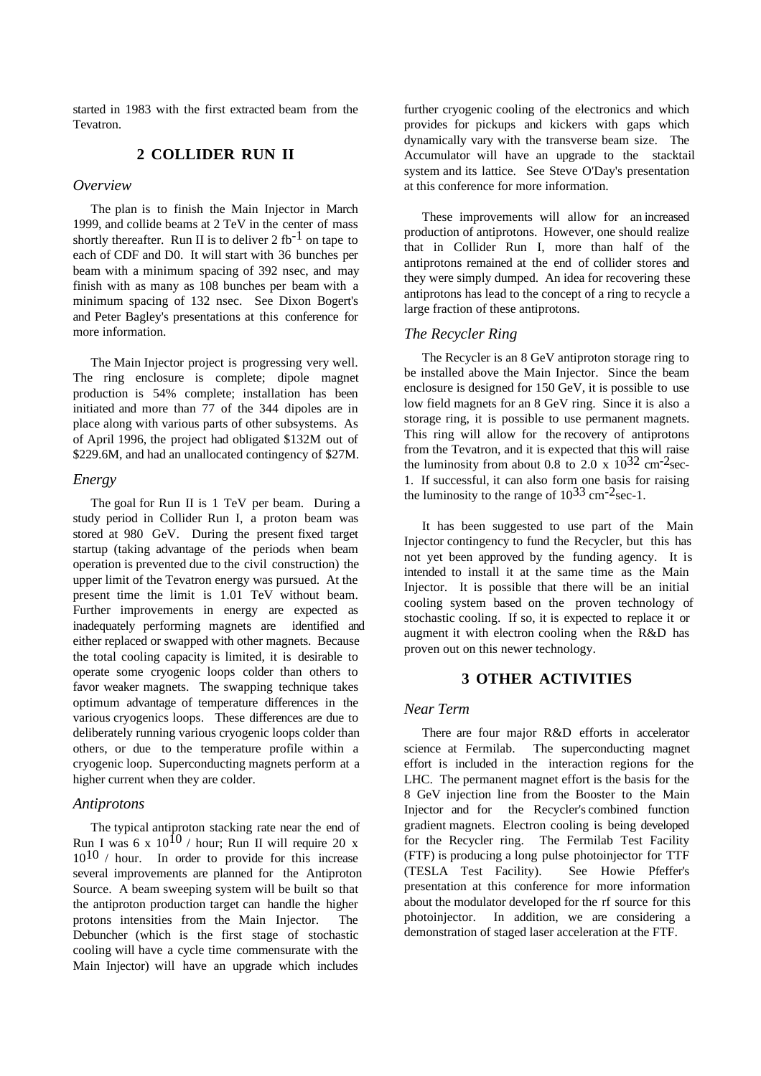started in 1983 with the first extracted beam from the Tevatron.

## **2 COLLIDER RUN II**

#### *Overview*

The plan is to finish the Main Injector in March 1999, and collide beams at 2 TeV in the center of mass shortly thereafter. Run II is to deliver 2 fb<sup>-1</sup> on tape to each of CDF and D0. It will start with 36 bunches per beam with a minimum spacing of 392 nsec, and may finish with as many as 108 bunches per beam with a minimum spacing of 132 nsec. See Dixon Bogert's and Peter Bagley's presentations at this conference for more information.

The Main Injector project is progressing very well. The ring enclosure is complete; dipole magnet production is 54% complete; installation has been initiated and more than 77 of the 344 dipoles are in place along with various parts of other subsystems. As of April 1996, the project had obligated \$132M out of \$229.6M, and had an unallocated contingency of \$27M.

#### *Energy*

The goal for Run II is 1 TeV per beam. During a study period in Collider Run I, a proton beam was stored at 980 GeV. During the present fixed target startup (taking advantage of the periods when beam operation is prevented due to the civil construction) the upper limit of the Tevatron energy was pursued. At the present time the limit is 1.01 TeV without beam. Further improvements in energy are expected as inadequately performing magnets are identified and either replaced or swapped with other magnets. Because the total cooling capacity is limited, it is desirable to operate some cryogenic loops colder than others to favor weaker magnets. The swapping technique takes optimum advantage of temperature differences in the various cryogenics loops. These differences are due to deliberately running various cryogenic loops colder than others, or due to the temperature profile within a cryogenic loop. Superconducting magnets perform at a higher current when they are colder.

#### *Antiprotons*

The typical antiproton stacking rate near the end of Run I was 6 x  $10^{10}$  / hour; Run II will require 20 x  $10^{10}$  / hour. In order to provide for this increase several improvements are planned for the Antiproton Source. A beam sweeping system will be built so that the antiproton production target can handle the higher protons intensities from the Main Injector. The Debuncher (which is the first stage of stochastic cooling will have a cycle time commensurate with the Main Injector) will have an upgrade which includes

further cryogenic cooling of the electronics and which provides for pickups and kickers with gaps which dynamically vary with the transverse beam size. The Accumulator will have an upgrade to the stacktail system and its lattice. See Steve O'Day's presentation at this conference for more information.

These improvements will allow for an increased production of antiprotons. However, one should realize that in Collider Run I, more than half of the antiprotons remained at the end of collider stores and they were simply dumped. An idea for recovering these antiprotons has lead to the concept of a ring to recycle a large fraction of these antiprotons.

#### *The Recycler Ring*

The Recycler is an 8 GeV antiproton storage ring to be installed above the Main Injector. Since the beam enclosure is designed for 150 GeV, it is possible to use low field magnets for an 8 GeV ring. Since it is also a storage ring, it is possible to use permanent magnets. This ring will allow for the recovery of antiprotons from the Tevatron, and it is expected that this will raise the luminosity from about 0.8 to 2.0 x  $10^{32}$  cm<sup>-2</sup>sec-1. If successful, it can also form one basis for raising the luminosity to the range of  $10^{33}$  cm<sup>-2</sup>sec-1.

It has been suggested to use part of the Main Injector contingency to fund the Recycler, but this has not yet been approved by the funding agency. It is intended to install it at the same time as the Main Injector. It is possible that there will be an initial cooling system based on the proven technology of stochastic cooling. If so, it is expected to replace it or augment it with electron cooling when the R&D has proven out on this newer technology.

## **3 OTHER ACTIVITIES**

#### *Near Term*

There are four major R&D efforts in accelerator science at Fermilab. The superconducting magnet effort is included in the interaction regions for the LHC. The permanent magnet effort is the basis for the 8 GeV injection line from the Booster to the Main Injector and for the Recycler's combined function gradient magnets. Electron cooling is being developed for the Recycler ring. The Fermilab Test Facility (FTF) is producing a long pulse photoinjector for TTF (TESLA Test Facility). See Howie Pfeffer's presentation at this conference for more information about the modulator developed for the rf source for this photoinjector. In addition, we are considering a demonstration of staged laser acceleration at the FTF.